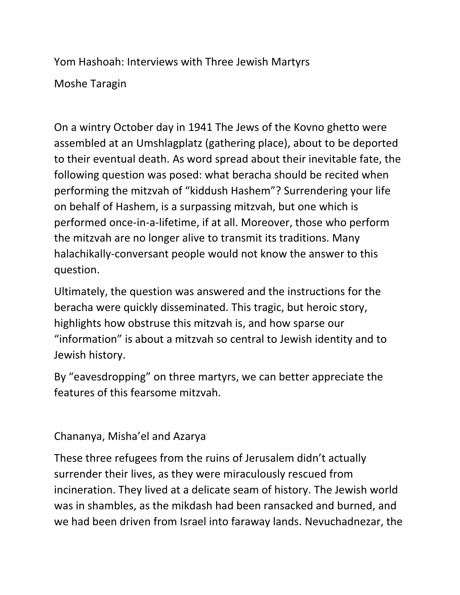Yom Hashoah: Interviews with Three Jewish Martyrs

Moshe Taragin

On a wintry October day in 1941 The Jews of the Kovno ghetto were assembled at an Umshlagplatz (gathering place), about to be deported to their eventual death. As word spread about their inevitable fate, the following question was posed: what beracha should be recited when performing the mitzvah of "kiddush Hashem"? Surrendering your life on behalf of Hashem, is a surpassing mitzvah, but one which is performed once-in-a-lifetime, if at all. Moreover, those who perform the mitzvah are no longer alive to transmit its traditions. Many halachikally-conversant people would not know the answer to this question.

Ultimately, the question was answered and the instructions for the beracha were quickly disseminated. This tragic, but heroic story, highlights how obstruse this mitzvah is, and how sparse our "information" is about a mitzvah so central to Jewish identity and to Jewish history.

By "eavesdropping" on three martyrs, we can better appreciate the features of this fearsome mitzvah.

Chananya, Misha'el and Azarya

These three refugees from the ruins of Jerusalem didn't actually surrender their lives, as they were miraculously rescued from incineration. They lived at a delicate seam of history. The Jewish world was in shambles, as the mikdash had been ransacked and burned, and we had been driven from Israel into faraway lands. Nevuchadnezar, the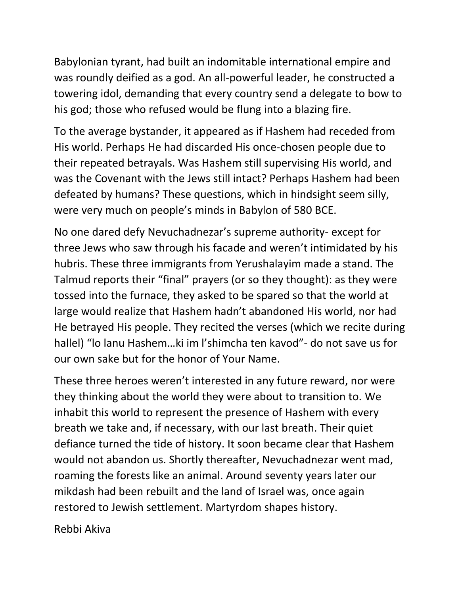Babylonian tyrant, had built an indomitable international empire and was roundly deified as a god. An all-powerful leader, he constructed a towering idol, demanding that every country send a delegate to bow to his god; those who refused would be flung into a blazing fire.

To the average bystander, it appeared as if Hashem had receded from His world. Perhaps He had discarded His once-chosen people due to their repeated betrayals. Was Hashem still supervising His world, and was the Covenant with the Jews still intact? Perhaps Hashem had been defeated by humans? These questions, which in hindsight seem silly, were very much on people's minds in Babylon of 580 BCE.

No one dared defy Nevuchadnezar's supreme authority- except for three Jews who saw through his facade and weren't intimidated by his hubris. These three immigrants from Yerushalayim made a stand. The Talmud reports their "final" prayers (or so they thought): as they were tossed into the furnace, they asked to be spared so that the world at large would realize that Hashem hadn't abandoned His world, nor had He betrayed His people. They recited the verses (which we recite during hallel) "lo lanu Hashem…ki im l'shimcha ten kavod"- do not save us for our own sake but for the honor of Your Name.

These three heroes weren't interested in any future reward, nor were they thinking about the world they were about to transition to. We inhabit this world to represent the presence of Hashem with every breath we take and, if necessary, with our last breath. Their quiet defiance turned the tide of history. It soon became clear that Hashem would not abandon us. Shortly thereafter, Nevuchadnezar went mad, roaming the forests like an animal. Around seventy years later our mikdash had been rebuilt and the land of Israel was, once again restored to Jewish settlement. Martyrdom shapes history.

Rebbi Akiva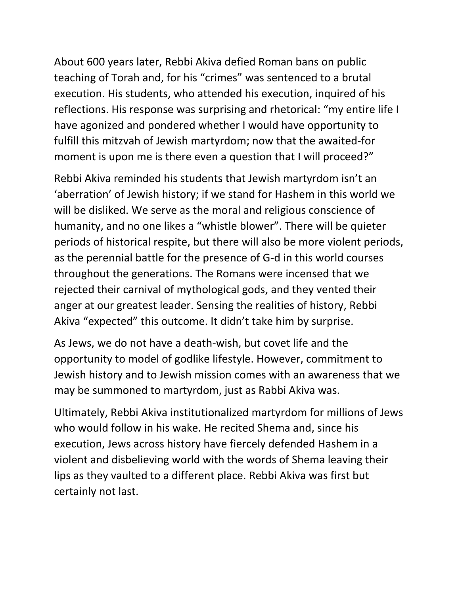About 600 years later, Rebbi Akiva defied Roman bans on public teaching of Torah and, for his "crimes" was sentenced to a brutal execution. His students, who attended his execution, inquired of his reflections. His response was surprising and rhetorical: "my entire life I have agonized and pondered whether I would have opportunity to fulfill this mitzvah of Jewish martyrdom; now that the awaited-for moment is upon me is there even a question that I will proceed?"

Rebbi Akiva reminded his students that Jewish martyrdom isn't an 'aberration' of Jewish history; if we stand for Hashem in this world we will be disliked. We serve as the moral and religious conscience of humanity, and no one likes a "whistle blower". There will be quieter periods of historical respite, but there will also be more violent periods, as the perennial battle for the presence of G-d in this world courses throughout the generations. The Romans were incensed that we rejected their carnival of mythological gods, and they vented their anger at our greatest leader. Sensing the realities of history, Rebbi Akiva "expected" this outcome. It didn't take him by surprise.

As Jews, we do not have a death-wish, but covet life and the opportunity to model of godlike lifestyle. However, commitment to Jewish history and to Jewish mission comes with an awareness that we may be summoned to martyrdom, just as Rabbi Akiva was.

Ultimately, Rebbi Akiva institutionalized martyrdom for millions of Jews who would follow in his wake. He recited Shema and, since his execution, Jews across history have fiercely defended Hashem in a violent and disbelieving world with the words of Shema leaving their lips as they vaulted to a different place. Rebbi Akiva was first but certainly not last.